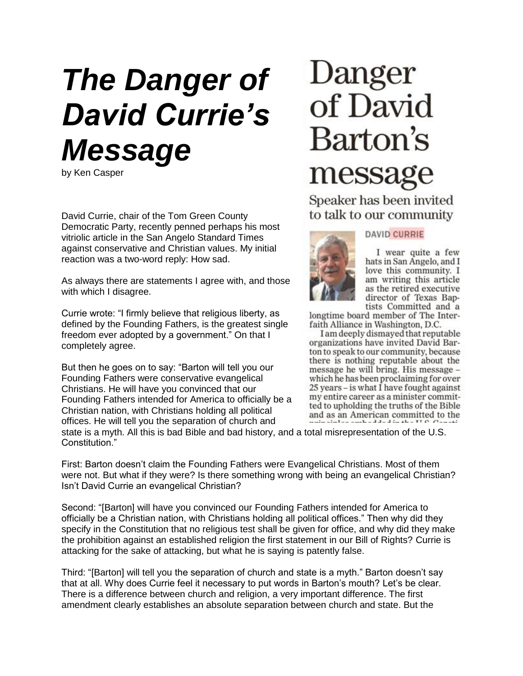## *The Danger of David Currie's Message*

by Ken Casper

David Currie, chair of the Tom Green County Democratic Party, recently penned perhaps his most vitriolic article in the San Angelo Standard Times against conservative and Christian values. My initial reaction was a two-word reply: How sad.

As always there are statements I agree with, and those with which I disagree.

Currie wrote: "I firmly believe that religious liberty, as defined by the Founding Fathers, is the greatest single freedom ever adopted by a government." On that I completely agree.

But then he goes on to say: "Barton will tell you our Founding Fathers were conservative evangelical Christians. He will have you convinced that our Founding Fathers intended for America to officially be a Christian nation, with Christians holding all political offices. He will tell you the separation of church and

## Danger of David Barton's message

Speaker has been invited to talk to our community



## **DAVID CURRIE**

I wear quite a few hats in San Angelo, and I love this community. I am writing this article as the retired executive director of Texas Baptists Committed and a

longtime board member of The Interfaith Alliance in Washington, D.C.

I am deeply dismayed that reputable organizations have invited David Barton to speak to our community, because there is nothing reputable about the message he will bring. His message which he has been proclaiming for over 25 years – is what I have fought against my entire career as a minister committed to upholding the truths of the Bible and as an American committed to the

state is a myth. All this is bad Bible and bad history, and a total misrepresentation of the U.S. Constitution."

First: Barton doesn't claim the Founding Fathers were Evangelical Christians. Most of them were not. But what if they were? Is there something wrong with being an evangelical Christian? Isn't David Currie an evangelical Christian?

Second: "[Barton] will have you convinced our Founding Fathers intended for America to officially be a Christian nation, with Christians holding all political offices." Then why did they specify in the Constitution that no religious test shall be given for office, and why did they make the prohibition against an established religion the first statement in our Bill of Rights? Currie is attacking for the sake of attacking, but what he is saying is patently false.

Third: "[Barton] will tell you the separation of church and state is a myth." Barton doesn't say that at all. Why does Currie feel it necessary to put words in Barton's mouth? Let's be clear. There is a difference between church and religion, a very important difference. The first amendment clearly establishes an absolute separation between church and state. But the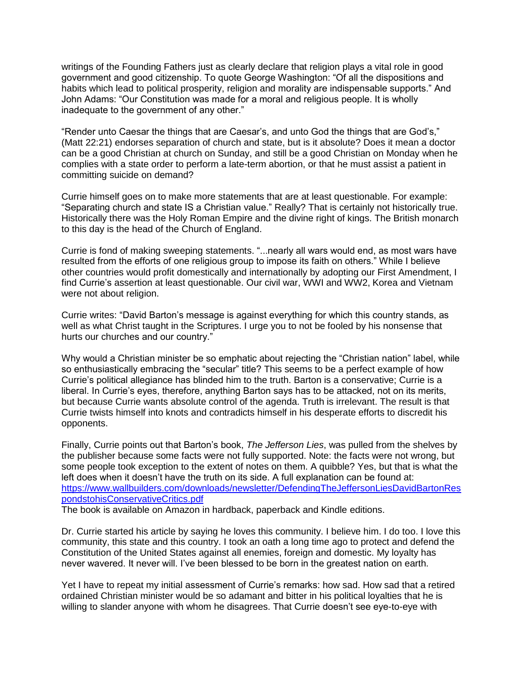writings of the Founding Fathers just as clearly declare that religion plays a vital role in good government and good citizenship. To quote George Washington: "Of all the dispositions and habits which lead to political prosperity, religion and morality are indispensable supports." And John Adams: "Our Constitution was made for a moral and religious people. It is wholly inadequate to the government of any other."

"Render unto Caesar the things that are Caesar's, and unto God the things that are God's," (Matt 22:21) endorses separation of church and state, but is it absolute? Does it mean a doctor can be a good Christian at church on Sunday, and still be a good Christian on Monday when he complies with a state order to perform a late-term abortion, or that he must assist a patient in committing suicide on demand?

Currie himself goes on to make more statements that are at least questionable. For example: "Separating church and state IS a Christian value." Really? That is certainly not historically true. Historically there was the Holy Roman Empire and the divine right of kings. The British monarch to this day is the head of the Church of England.

Currie is fond of making sweeping statements. "...nearly all wars would end, as most wars have resulted from the efforts of one religious group to impose its faith on others." While I believe other countries would profit domestically and internationally by adopting our First Amendment, I find Currie's assertion at least questionable. Our civil war, WWI and WW2, Korea and Vietnam were not about religion.

Currie writes: "David Barton's message is against everything for which this country stands, as well as what Christ taught in the Scriptures. I urge you to not be fooled by his nonsense that hurts our churches and our country."

Why would a Christian minister be so emphatic about rejecting the "Christian nation" label, while so enthusiastically embracing the "secular" title? This seems to be a perfect example of how Currie's political allegiance has blinded him to the truth. Barton is a conservative; Currie is a liberal. In Currie's eyes, therefore, anything Barton says has to be attacked, not on its merits, but because Currie wants absolute control of the agenda. Truth is irrelevant. The result is that Currie twists himself into knots and contradicts himself in his desperate efforts to discredit his opponents.

Finally, Currie points out that Barton's book, *The Jefferson Lies*, was pulled from the shelves by the publisher because some facts were not fully supported. Note: the facts were not wrong, but some people took exception to the extent of notes on them. A quibble? Yes, but that is what the left does when it doesn't have the truth on its side. A full explanation can be found at: [https://www.wallbuilders.com/downloads/newsletter/DefendingTheJeffersonLiesDavidBartonRes](https://www.wallbuilders.com/downloads/newsletter/DefendingTheJeffersonLiesDavidBartonRespondstohisConservativeCritics.pdf) [pondstohisConservativeCritics.pdf](https://www.wallbuilders.com/downloads/newsletter/DefendingTheJeffersonLiesDavidBartonRespondstohisConservativeCritics.pdf)

The book is available on Amazon in hardback, paperback and Kindle editions.

Dr. Currie started his article by saying he loves this community. I believe him. I do too. I love this community, this state and this country. I took an oath a long time ago to protect and defend the Constitution of the United States against all enemies, foreign and domestic. My loyalty has never wavered. It never will. I've been blessed to be born in the greatest nation on earth.

Yet I have to repeat my initial assessment of Currie's remarks: how sad. How sad that a retired ordained Christian minister would be so adamant and bitter in his political loyalties that he is willing to slander anyone with whom he disagrees. That Currie doesn't see eye-to-eye with